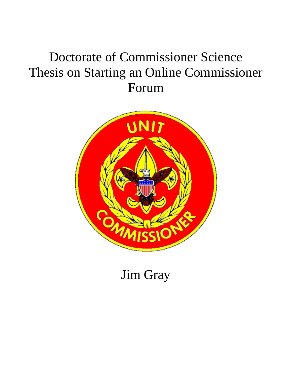## Doctorate of Commissioner Science Thesis on Starting an Online Commissioner Forum



Jim Gray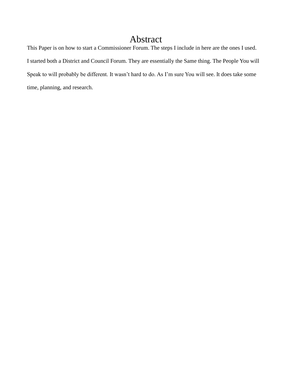## Abstract

This Paper is on how to start a Commissioner Forum. The steps I include in here are the ones I used. I started both a District and Council Forum. They are essentially the Same thing. The People You will Speak to will probably be different. It wasn't hard to do. As I'm sure You will see. It does take some time, planning, and research.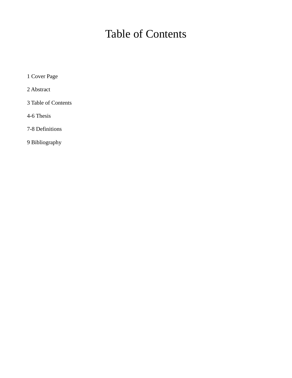## Table of Contents

1 Cover Page

2 Abstract

3 Table of Contents

4-6 Thesis

7-8 Definitions

9 Bibliography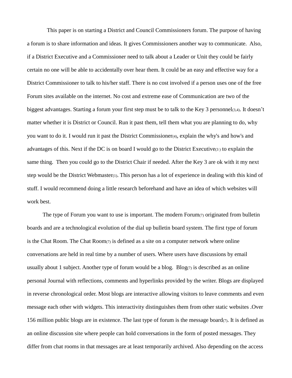This paper is on starting a District and Council Commissioners forum. The purpose of having a forum is to share information and ideas. It gives Commissioners another way to communicate. Also, if a District Executive and a Commissioner need to talk about a Leader or Unit they could be fairly certain no one will be able to accidentally over hear them. It could be an easy and effective way for a District Commissioner to talk to his/her staff. There is no cost involved if a person uses one of the free Forum sites available on the internet. No cost and extreme ease of Communication are two of the biggest advantages. Starting a forum your first step must be to talk to the Key 3 personnel(3,4). It doesn't matter whether it is District or Council. Run it past them, tell them what you are planning to do, why you want to do it. I would run it past the District Commissioner(4), explain the why's and how's and advantages of this. Next if the DC is on board I would go to the District Executive(3 ) to explain the same thing. Then you could go to the District Chair if needed. After the Key 3 are ok with it my next step would be the District Webmaster(1). This person has a lot of experience in dealing with this kind of stuff. I would recommend doing a little research beforehand and have an idea of which websites will work best.

The type of Forum you want to use is important. The modern  $\text{Form}(7)$  originated from bulletin boards and are a technological evolution of the dial up bulletin board system. The first type of forum is the Chat Room. The Chat Room(7) is defined as a site on a computer network where online conversations are held in real time by a number of users. Where users have discussions by email usually about 1 subject. Another type of forum would be a blog. Blog $(7)$  is described as an online personal Journal with reflections, comments and hyperlinks provided by the writer. Blogs are displayed in reverse chronological order. Most blogs are interactive allowing visitors to leave comments and even message each other with widgets. This interactivity distinguishes them from other static websites .Over 156 million public blogs are in existence. The last type of forum is the message board $(7)$ . It is defined as an online discussion site where people can hold conversations in the form of posted messages. They differ from chat rooms in that messages are at least temporarily archived. Also depending on the access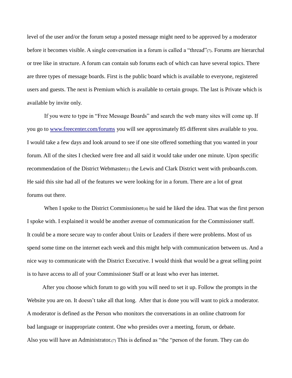level of the user and/or the forum setup a posted message might need to be approved by a moderator before it becomes visible. A single conversation in a forum is called a "thread"(7). Forums are hierarchal or tree like in structure. A forum can contain sub forums each of which can have several topics. There are three types of message boards. First is the public board which is available to everyone, registered users and guests. The next is Premium which is available to certain groups. The last is Private which is available by invite only.

 If you were to type in "Free Message Boards" and search the web many sites will come up. If you go to [www.freecenter.com/forums](http://www.freecenter.com/forums) you will see approximately 85 different sites available to you. I would take a few days and look around to see if one site offered something that you wanted in your forum. All of the sites I checked were free and all said it would take under one minute. Upon specific recommendation of the District Webmaster(1) the Lewis and Clark District went with proboards.com. He said this site had all of the features we were looking for in a forum. There are a lot of great forums out there.

When I spoke to the District Commissioner $(4)$  he said he liked the idea. That was the first person I spoke with. I explained it would be another avenue of communication for the Commissioner staff. It could be a more secure way to confer about Units or Leaders if there were problems. Most of us spend some time on the internet each week and this might help with communication between us. And a nice way to communicate with the District Executive. I would think that would be a great selling point is to have access to all of your Commissioner Staff or at least who ever has internet.

 After you choose which forum to go with you will need to set it up. Follow the prompts in the Website you are on. It doesn't take all that long. After that is done you will want to pick a moderator. A moderator is defined as the Person who monitors the conversations in an online chatroom for bad language or inappropriate content. One who presides over a meeting, forum, or debate. Also you will have an Administrator.(7) This is defined as "the "person of the forum. They can do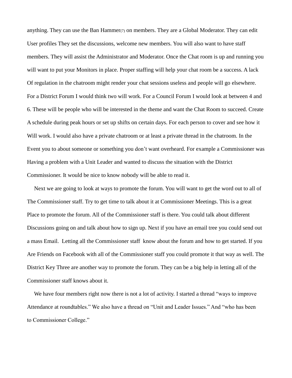anything. They can use the Ban Hammer( $\tau$ ) on members. They are a Global Moderator. They can edit User profiles They set the discussions, welcome new members. You will also want to have staff members. They will assist the Administrator and Moderator. Once the Chat room is up and running you will want to put your Monitors in place. Proper staffing will help your chat room be a success. A lack Of regulation in the chatroom might render your chat sessions useless and people will go elsewhere. For a District Forum I would think two will work. For a Council Forum I would look at between 4 and 6. These will be people who will be interested in the theme and want the Chat Room to succeed. Create A schedule during peak hours or set up shifts on certain days. For each person to cover and see how it Will work. I would also have a private chatroom or at least a private thread in the chatroom. In the Event you to about someone or something you don't want overheard. For example a Commissioner was Having a problem with a Unit Leader and wanted to discuss the situation with the District Commissioner. It would be nice to know nobody will be able to read it.

 Next we are going to look at ways to promote the forum. You will want to get the word out to all of The Commissioner staff. Try to get time to talk about it at Commissioner Meetings. This is a great Place to promote the forum. All of the Commissioner staff is there. You could talk about different Discussions going on and talk about how to sign up. Next if you have an email tree you could send out a mass Email. Letting all the Commissioner staff know about the forum and how to get started. If you Are Friends on Facebook with all of the Commissioner staff you could promote it that way as well. The District Key Three are another way to promote the forum. They can be a big help in letting all of the Commissioner staff knows about it.

We have four members right now there is not a lot of activity. I started a thread "ways to improve Attendance at roundtables." We also have a thread on "Unit and Leader Issues." And "who has been to Commissioner College."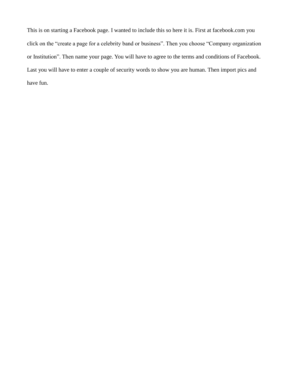This is on starting a Facebook page. I wanted to include this so here it is. First at facebook.com you click on the "create a page for a celebrity band or business". Then you choose "Company organization or Institution". Then name your page. You will have to agree to the terms and conditions of Facebook. Last you will have to enter a couple of security words to show you are human. Then import pics and have fun.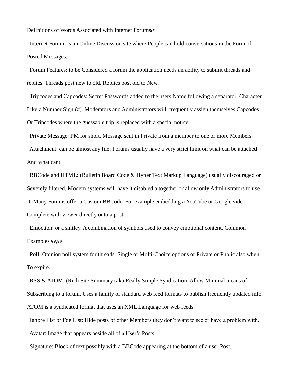Definitions of Words Associated with Internet Forums(7)

 Internet Forum: is an Online Discussion site where People can hold conversations in the Form of Posted Messages.

 Forum Features: to be Considered a forum the application needs an ability to submit threads and replies. Threads post new to old, Replies post old to New.

 Tripcodes and Capcodes: Secret Passwords added to the users Name following a separator Character Like a Number Sign (#). Moderators and Administrators will frequently assign themselves Capcodes Or Tripcodes where the guessable trip is replaced with a special notice.

Private Message: PM for short. Message sent in Private from a member to one or more Members.

 Attachment: can be almost any file. Forums usually have a very strict limit on what can be attached And what cant.

 BBCode and HTML: (Bulletin Board Code & Hyper Text Markup Language) usually discouraged or Severely filtered. Modern systems will have it disabled altogether or allow only Administrators to use It. Many Forums offer a Custom BBCode. For example embedding a YouTube or Google video Complete with viewer directly onto a post.

 Emoction: or a smiley. A combination of symbols used to convey emotional content. Common Examples  $\odot$ , $\odot$ 

 Poll: Opinion poll system for threads. Single or Multi-Choice options or Private or Public also when To expire.

 RSS & ATOM: (Rich Site Summary) aka Really Simple Syndication. Allow Minimal means of Subscribing to a forum. Uses a family of standard web feed formats to publish frequently updated info. ATOM is a syndicated format that uses an XML Language for web feeds.

 Ignore List or Foe List: Hide posts of other Members they don't want to see or have a problem with. Avatar: Image that appears beside all of a User's Posts.

Signature: Block of text possibly with a BBCode appearing at the bottom of a user Post.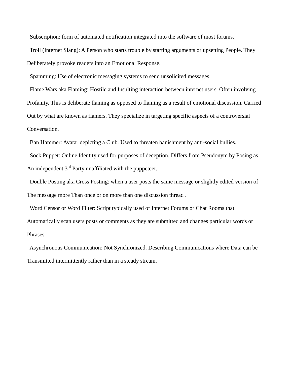Subscription: form of automated notification integrated into the software of most forums.

 Troll (Internet Slang): A Person who starts trouble by starting arguments or upsetting People. They Deliberately provoke readers into an Emotional Response.

Spamming: Use of electronic messaging systems to send unsolicited messages.

 Flame Wars aka Flaming: Hostile and Insulting interaction between internet users. Often involving Profanity. This is deliberate flaming as opposed to flaming as a result of emotional discussion. Carried Out by what are known as flamers. They specialize in targeting specific aspects of a controversial Conversation.

Ban Hammer: Avatar depicting a Club. Used to threaten banishment by anti-social bullies.

 Sock Puppet: Online Identity used for purposes of deception. Differs from Pseudonym by Posing as An independent  $3<sup>rd</sup>$  Party unaffiliated with the puppeteer.

 Double Posting aka Cross Posting: when a user posts the same message or slightly edited version of The message more Than once or on more than one discussion thread .

 Word Censor or Word Filter: Script typically used of Internet Forums or Chat Rooms that Automatically scan users posts or comments as they are submitted and changes particular words or Phrases.

 Asynchronous Communication: Not Synchronized. Describing Communications where Data can be Transmitted intermittently rather than in a steady stream.